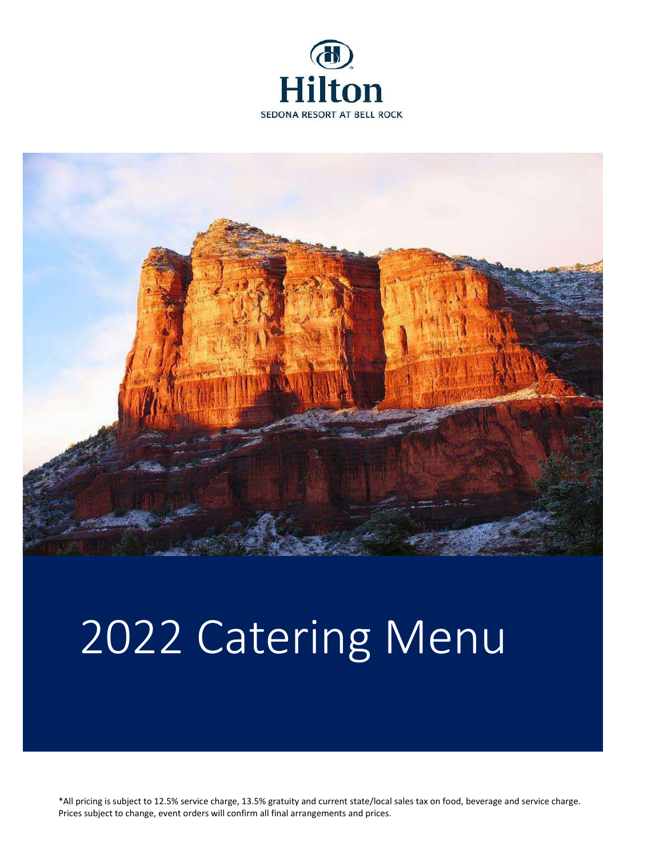



# 2022 Catering Menu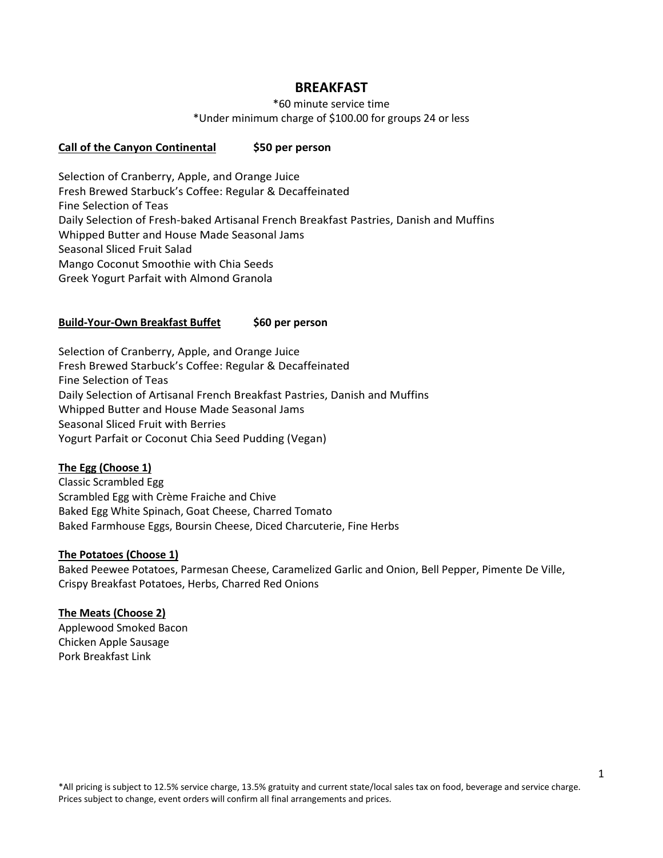# **BREAKFAST**

\*60 minute service time

\*Under minimum charge of \$100.00 for groups 24 or less

#### **Call of the Canyon Continental \$50 per person**

Selection of Cranberry, Apple, and Orange Juice Fresh Brewed Starbuck's Coffee: Regular & Decaffeinated Fine Selection of Teas Daily Selection of Fresh-baked Artisanal French Breakfast Pastries, Danish and Muffins Whipped Butter and House Made Seasonal Jams Seasonal Sliced Fruit Salad Mango Coconut Smoothie with Chia Seeds Greek Yogurt Parfait with Almond Granola

## **Build-Your-Own Breakfast Buffet \$60 per person**

Selection of Cranberry, Apple, and Orange Juice Fresh Brewed Starbuck's Coffee: Regular & Decaffeinated Fine Selection of Teas Daily Selection of Artisanal French Breakfast Pastries, Danish and Muffins Whipped Butter and House Made Seasonal Jams Seasonal Sliced Fruit with Berries Yogurt Parfait or Coconut Chia Seed Pudding (Vegan)

#### **The Egg (Choose 1)**

Classic Scrambled Egg Scrambled Egg with Crème Fraiche and Chive Baked Egg White Spinach, Goat Cheese, Charred Tomato Baked Farmhouse Eggs, Boursin Cheese, Diced Charcuterie, Fine Herbs

#### **The Potatoes (Choose 1)**

Baked Peewee Potatoes, Parmesan Cheese, Caramelized Garlic and Onion, Bell Pepper, Pimente De Ville, Crispy Breakfast Potatoes, Herbs, Charred Red Onions

#### **The Meats (Choose 2)**

Applewood Smoked Bacon Chicken Apple Sausage Pork Breakfast Link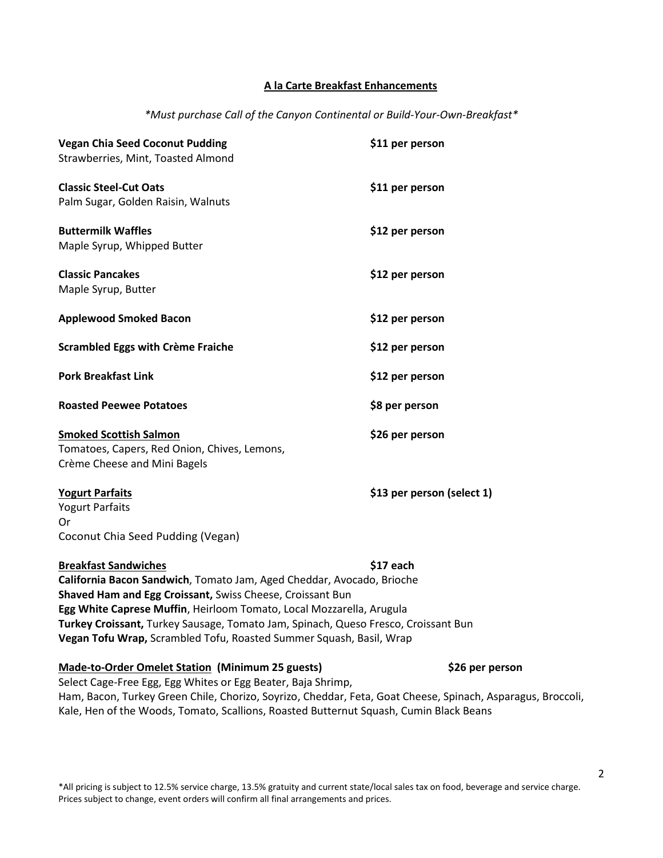#### **A la Carte Breakfast Enhancements**

*\*Must purchase Call of the Canyon Continental or Build-Your-Own-Breakfast\**

| <b>Vegan Chia Seed Coconut Pudding</b><br>Strawberries, Mint, Toasted Almond                                                                                                                                                                                                                                                                                                                           | \$11 per person            |
|--------------------------------------------------------------------------------------------------------------------------------------------------------------------------------------------------------------------------------------------------------------------------------------------------------------------------------------------------------------------------------------------------------|----------------------------|
| <b>Classic Steel-Cut Oats</b><br>Palm Sugar, Golden Raisin, Walnuts                                                                                                                                                                                                                                                                                                                                    | \$11 per person            |
| <b>Buttermilk Waffles</b><br>Maple Syrup, Whipped Butter                                                                                                                                                                                                                                                                                                                                               | \$12 per person            |
| <b>Classic Pancakes</b><br>Maple Syrup, Butter                                                                                                                                                                                                                                                                                                                                                         | \$12 per person            |
| <b>Applewood Smoked Bacon</b>                                                                                                                                                                                                                                                                                                                                                                          | \$12 per person            |
| <b>Scrambled Eggs with Crème Fraiche</b>                                                                                                                                                                                                                                                                                                                                                               | \$12 per person            |
| <b>Pork Breakfast Link</b>                                                                                                                                                                                                                                                                                                                                                                             | \$12 per person            |
| <b>Roasted Peewee Potatoes</b>                                                                                                                                                                                                                                                                                                                                                                         | \$8 per person             |
| <b>Smoked Scottish Salmon</b><br>Tomatoes, Capers, Red Onion, Chives, Lemons,<br>Crème Cheese and Mini Bagels                                                                                                                                                                                                                                                                                          | \$26 per person            |
| <b>Yogurt Parfaits</b><br><b>Yogurt Parfaits</b><br>Or<br>Coconut Chia Seed Pudding (Vegan)                                                                                                                                                                                                                                                                                                            | \$13 per person (select 1) |
| <b>Breakfast Sandwiches</b><br>California Bacon Sandwich, Tomato Jam, Aged Cheddar, Avocado, Brioche<br>Shaved Ham and Egg Croissant, Swiss Cheese, Croissant Bun<br>Egg White Caprese Muffin, Heirloom Tomato, Local Mozzarella, Arugula<br>Turkey Croissant, Turkey Sausage, Tomato Jam, Spinach, Queso Fresco, Croissant Bun<br>Vegan Tofu Wrap, Scrambled Tofu, Roasted Summer Squash, Basil, Wrap | \$17 each                  |

#### **Made-to-Order Omelet Station (Minimum 25 guests) \$26 per person**

Select Cage-Free Egg, Egg Whites or Egg Beater, Baja Shrimp, Ham, Bacon, Turkey Green Chile, Chorizo, Soyrizo, Cheddar, Feta, Goat Cheese, Spinach, Asparagus, Broccoli, Kale, Hen of the Woods, Tomato, Scallions, Roasted Butternut Squash, Cumin Black Beans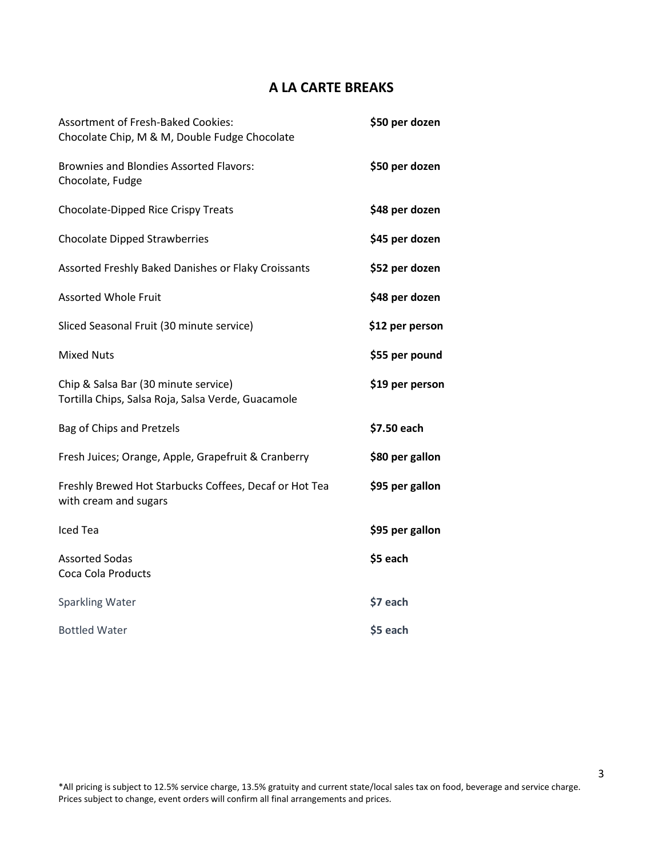# **A LA CARTE BREAKS**

| <b>Assortment of Fresh-Baked Cookies:</b><br>Chocolate Chip, M & M, Double Fudge Chocolate | \$50 per dozen  |
|--------------------------------------------------------------------------------------------|-----------------|
| <b>Brownies and Blondies Assorted Flavors:</b><br>Chocolate, Fudge                         | \$50 per dozen  |
| Chocolate-Dipped Rice Crispy Treats                                                        | \$48 per dozen  |
| <b>Chocolate Dipped Strawberries</b>                                                       | \$45 per dozen  |
| Assorted Freshly Baked Danishes or Flaky Croissants                                        | \$52 per dozen  |
| <b>Assorted Whole Fruit</b>                                                                | \$48 per dozen  |
| Sliced Seasonal Fruit (30 minute service)                                                  | \$12 per person |
| <b>Mixed Nuts</b>                                                                          | \$55 per pound  |
| Chip & Salsa Bar (30 minute service)<br>Tortilla Chips, Salsa Roja, Salsa Verde, Guacamole | \$19 per person |
| Bag of Chips and Pretzels                                                                  | \$7.50 each     |
| Fresh Juices; Orange, Apple, Grapefruit & Cranberry                                        | \$80 per gallon |
| Freshly Brewed Hot Starbucks Coffees, Decaf or Hot Tea<br>with cream and sugars            | \$95 per gallon |
| <b>Iced Tea</b>                                                                            | \$95 per gallon |
| <b>Assorted Sodas</b><br>Coca Cola Products                                                | \$5 each        |
| Sparkling Water                                                                            | \$7 each        |
| <b>Bottled Water</b>                                                                       | \$5 each        |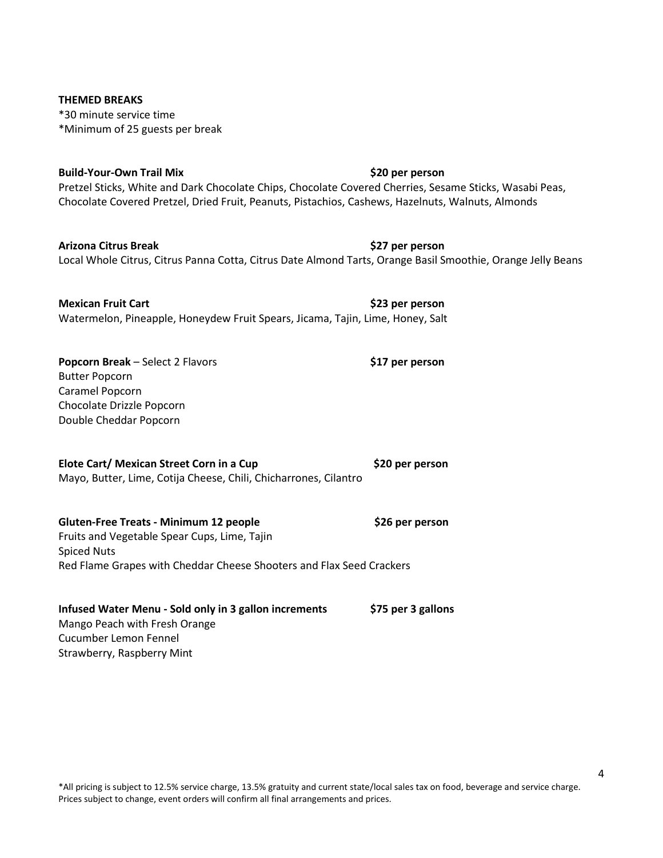# **THEMED BREAKS** \*30 minute service time \*Minimum of 25 guests per break

## **Build-Your-Own Trail Mix \$20 per person**

Pretzel Sticks, White and Dark Chocolate Chips, Chocolate Covered Cherries, Sesame Sticks, Wasabi Peas, Chocolate Covered Pretzel, Dried Fruit, Peanuts, Pistachios, Cashews, Hazelnuts, Walnuts, Almonds

**Arizona Citrus Break \$27 per person**  Local Whole Citrus, Citrus Panna Cotta, Citrus Date Almond Tarts, Orange Basil Smoothie, Orange Jelly Beans

**Mexican Fruit Cart 1988 1989 1989 1989 1989 1989 1989 1989 1989 1989 1989 1989 1989 1989 1989 1989 1989 1989 1989 1989 1989 1989 1989 1989 1989 1989 1989 1989 1989** Watermelon, Pineapple, Honeydew Fruit Spears, Jicama, Tajin, Lime, Honey, Salt

**Popcorn Break** – Select 2 Flavors **\$17 per person** Butter Popcorn Caramel Popcorn Chocolate Drizzle Popcorn Double Cheddar Popcorn

# **Elote Cart/ Mexican Street Corn in a Cup \$20 per person**

Mayo, Butter, Lime, Cotija Cheese, Chili, Chicharrones, Cilantro

**Gluten-Free Treats - Minimum 12 people \$26 per person** Fruits and Vegetable Spear Cups, Lime, Tajin Spiced Nuts Red Flame Grapes with Cheddar Cheese Shooters and Flax Seed Crackers

## **Infused Water Menu - Sold only in 3 gallon increments \$75 per 3 gallons** Mango Peach with Fresh Orange Cucumber Lemon Fennel Strawberry, Raspberry Mint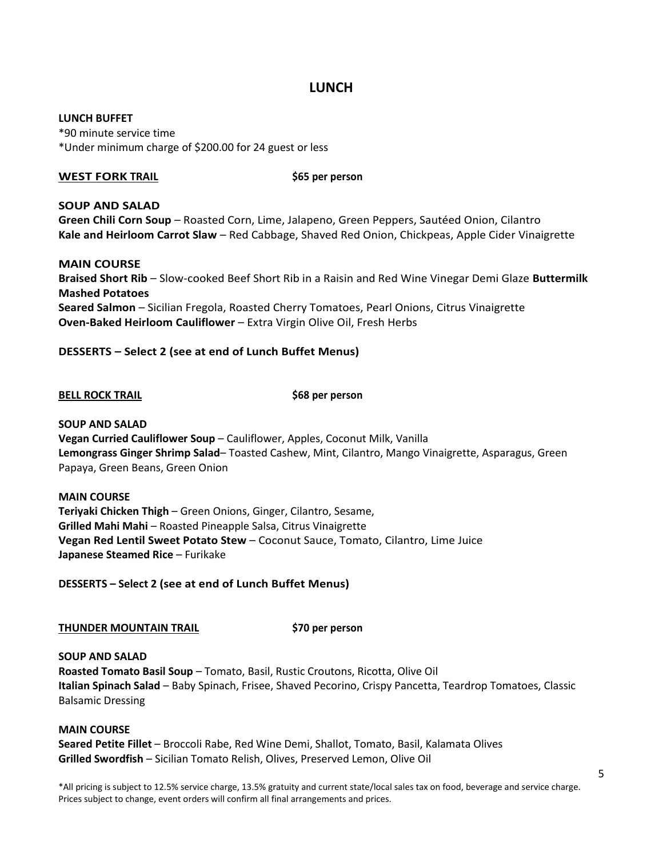# **LUNCH**

#### **LUNCH BUFFET**

\*90 minute service time \*Under minimum charge of \$200.00 for 24 guest or less

#### **WEST FORK TRAIL** \$65 per person

#### **SOUP AND SALAD**

**Green Chili Corn Soup** – Roasted Corn, Lime, Jalapeno, Green Peppers, Sautéed Onion, Cilantro **Kale and Heirloom Carrot Slaw** – Red Cabbage, Shaved Red Onion, Chickpeas, Apple Cider Vinaigrette

#### **MAIN COURSE**

**Braised Short Rib** – Slow-cooked Beef Short Rib in a Raisin and Red Wine Vinegar Demi Glaze **Buttermilk Mashed Potatoes Seared Salmon** – Sicilian Fregola, Roasted Cherry Tomatoes, Pearl Onions, Citrus Vinaigrette **Oven-Baked Heirloom Cauliflower** – Extra Virgin Olive Oil, Fresh Herbs

## **DESSERTS – Select 2 (see at end of Lunch Buffet Menus)**

#### **BELL ROCK TRAIL \$68 per person**

#### **SOUP AND SALAD**

**Vegan Curried Cauliflower Soup** – Cauliflower, Apples, Coconut Milk, Vanilla **Lemongrass Ginger Shrimp Salad**– Toasted Cashew, Mint, Cilantro, Mango Vinaigrette, Asparagus, Green Papaya, Green Beans, Green Onion

#### **MAIN COURSE**

**Teriyaki Chicken Thigh** – Green Onions, Ginger, Cilantro, Sesame, **Grilled Mahi Mahi** – Roasted Pineapple Salsa, Citrus Vinaigrette **Vegan Red Lentil Sweet Potato Stew** – Coconut Sauce, Tomato, Cilantro, Lime Juice **Japanese Steamed Rice** – Furikake

**DESSERTS – Select 2 (see at end of Lunch Buffet Menus)**

#### **THUNDER MOUNTAIN TRAIL \$70 per person**

#### **SOUP AND SALAD**

**Roasted Tomato Basil Soup** – Tomato, Basil, Rustic Croutons, Ricotta, Olive Oil **Italian Spinach Salad** – Baby Spinach, Frisee, Shaved Pecorino, Crispy Pancetta, Teardrop Tomatoes, Classic Balsamic Dressing

#### **MAIN COURSE**

**Seared Petite Fillet** – Broccoli Rabe, Red Wine Demi, Shallot, Tomato, Basil, Kalamata Olives **Grilled Swordfish** – Sicilian Tomato Relish, Olives, Preserved Lemon, Olive Oil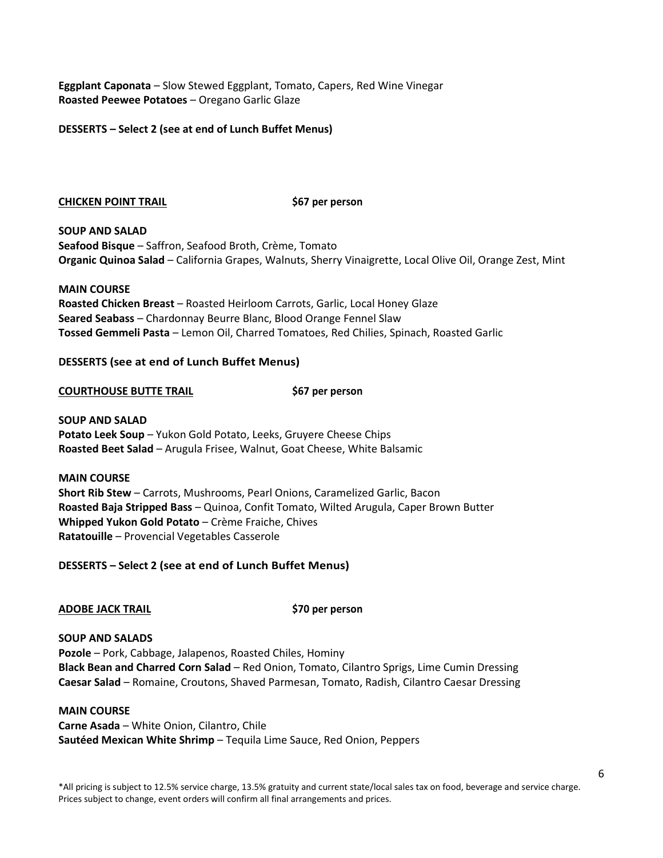**Eggplant Caponata** – Slow Stewed Eggplant, Tomato, Capers, Red Wine Vinegar **Roasted Peewee Potatoes** – Oregano Garlic Glaze

#### **DESSERTS – Select 2 (see at end of Lunch Buffet Menus)**

#### **CHICKEN POINT TRAIL \$67 per person**

**SOUP AND SALAD Seafood Bisque** – Saffron, Seafood Broth, Crème, Tomato **Organic Quinoa Salad** – California Grapes, Walnuts, Sherry Vinaigrette, Local Olive Oil, Orange Zest, Mint

#### **MAIN COURSE**

**Roasted Chicken Breast** – Roasted Heirloom Carrots, Garlic, Local Honey Glaze **Seared Seabass** – Chardonnay Beurre Blanc, Blood Orange Fennel Slaw **Tossed Gemmeli Pasta** – Lemon Oil, Charred Tomatoes, Red Chilies, Spinach, Roasted Garlic

#### **DESSERTS (see at end of Lunch Buffet Menus)**

#### **COURTHOUSE BUTTE TRAIL \$67 per person**

**SOUP AND SALAD Potato Leek Soup** – Yukon Gold Potato, Leeks, Gruyere Cheese Chips **Roasted Beet Salad** – Arugula Frisee, Walnut, Goat Cheese, White Balsamic

**MAIN COURSE Short Rib Stew** – Carrots, Mushrooms, Pearl Onions, Caramelized Garlic, Bacon **Roasted Baja Stripped Bass** – Quinoa, Confit Tomato, Wilted Arugula, Caper Brown Butter **Whipped Yukon Gold Potato** – Crème Fraiche, Chives **Ratatouille** – Provencial Vegetables Casserole

**DESSERTS – Select 2 (see at end of Lunch Buffet Menus)**

#### **ADOBE JACK TRAIL \$70 per person**

# **SOUP AND SALADS**

**Pozole** – Pork, Cabbage, Jalapenos, Roasted Chiles, Hominy **Black Bean and Charred Corn Salad** – Red Onion, Tomato, Cilantro Sprigs, Lime Cumin Dressing **Caesar Salad** – Romaine, Croutons, Shaved Parmesan, Tomato, Radish, Cilantro Caesar Dressing

#### **MAIN COURSE**

**Carne Asada** – White Onion, Cilantro, Chile **Sautéed Mexican White Shrimp** – Tequila Lime Sauce, Red Onion, Peppers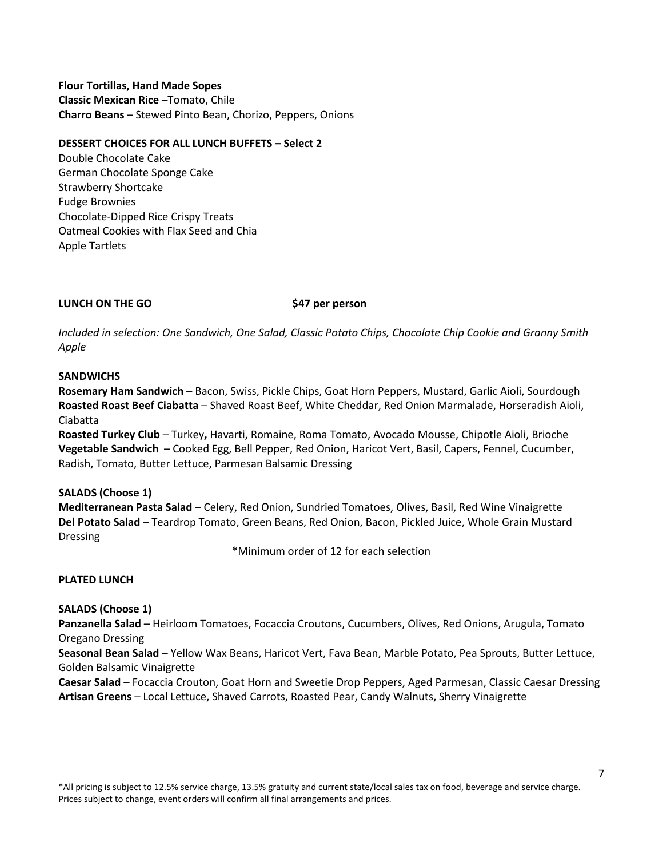**Flour Tortillas, Hand Made Sopes Classic Mexican Rice** –Tomato, Chile **Charro Beans** – Stewed Pinto Bean, Chorizo, Peppers, Onions

#### **DESSERT CHOICES FOR ALL LUNCH BUFFETS – Select 2**

Double Chocolate Cake German Chocolate Sponge Cake Strawberry Shortcake Fudge Brownies Chocolate-Dipped Rice Crispy Treats Oatmeal Cookies with Flax Seed and Chia Apple Tartlets

## **LUNCH ON THE GO \$47 per person**

*Included in selection: One Sandwich, One Salad, Classic Potato Chips, Chocolate Chip Cookie and Granny Smith Apple*

#### **SANDWICHS**

**Rosemary Ham Sandwich** – Bacon, Swiss, Pickle Chips, Goat Horn Peppers, Mustard, Garlic Aioli, Sourdough **Roasted Roast Beef Ciabatta** – Shaved Roast Beef, White Cheddar, Red Onion Marmalade, Horseradish Aioli, Ciabatta

**Roasted Turkey Club** – Turkey**,** Havarti, Romaine, Roma Tomato, Avocado Mousse, Chipotle Aioli, Brioche **Vegetable Sandwich** – Cooked Egg, Bell Pepper, Red Onion, Haricot Vert, Basil, Capers, Fennel, Cucumber, Radish, Tomato, Butter Lettuce, Parmesan Balsamic Dressing

#### **SALADS (Choose 1)**

**Mediterranean Pasta Salad** – Celery, Red Onion, Sundried Tomatoes, Olives, Basil, Red Wine Vinaigrette **Del Potato Salad** – Teardrop Tomato, Green Beans, Red Onion, Bacon, Pickled Juice, Whole Grain Mustard Dressing

\*Minimum order of 12 for each selection

#### **PLATED LUNCH**

#### **SALADS (Choose 1)**

**Panzanella Salad** – Heirloom Tomatoes, Focaccia Croutons, Cucumbers, Olives, Red Onions, Arugula, Tomato Oregano Dressing

**Seasonal Bean Salad** – Yellow Wax Beans, Haricot Vert, Fava Bean, Marble Potato, Pea Sprouts, Butter Lettuce, Golden Balsamic Vinaigrette

**Caesar Salad** – Focaccia Crouton, Goat Horn and Sweetie Drop Peppers, Aged Parmesan, Classic Caesar Dressing **Artisan Greens** – Local Lettuce, Shaved Carrots, Roasted Pear, Candy Walnuts, Sherry Vinaigrette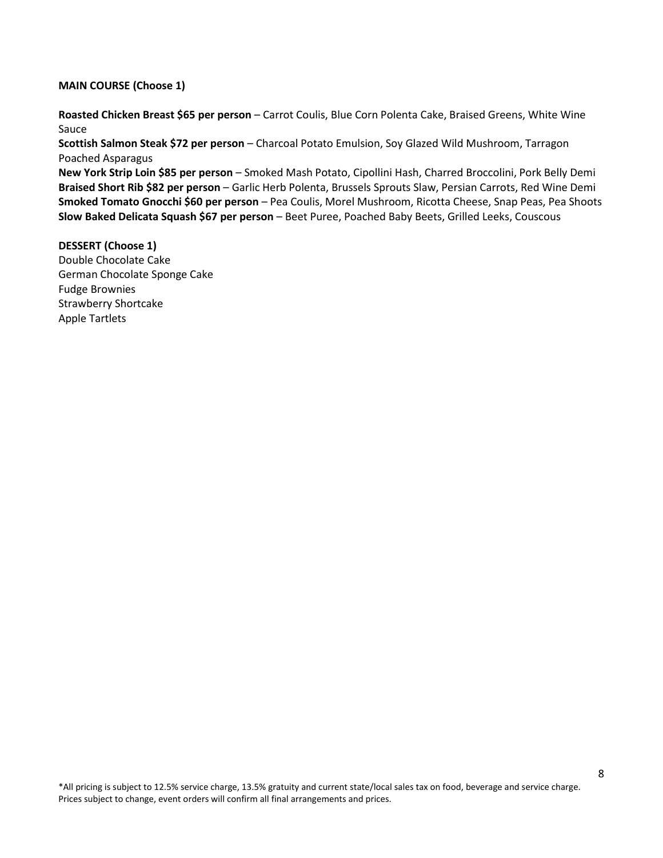#### **MAIN COURSE (Choose 1)**

**Roasted Chicken Breast \$65 per person** – Carrot Coulis, Blue Corn Polenta Cake, Braised Greens, White Wine Sauce

**Scottish Salmon Steak \$72 per person** – Charcoal Potato Emulsion, Soy Glazed Wild Mushroom, Tarragon Poached Asparagus

**New York Strip Loin \$85 per person** – Smoked Mash Potato, Cipollini Hash, Charred Broccolini, Pork Belly Demi **Braised Short Rib \$82 per person** – Garlic Herb Polenta, Brussels Sprouts Slaw, Persian Carrots, Red Wine Demi **Smoked Tomato Gnocchi \$60 per person** – Pea Coulis, Morel Mushroom, Ricotta Cheese, Snap Peas, Pea Shoots **Slow Baked Delicata Squash \$67 per person** – Beet Puree, Poached Baby Beets, Grilled Leeks, Couscous

**DESSERT (Choose 1)** Double Chocolate Cake German Chocolate Sponge Cake Fudge Brownies Strawberry Shortcake Apple Tartlets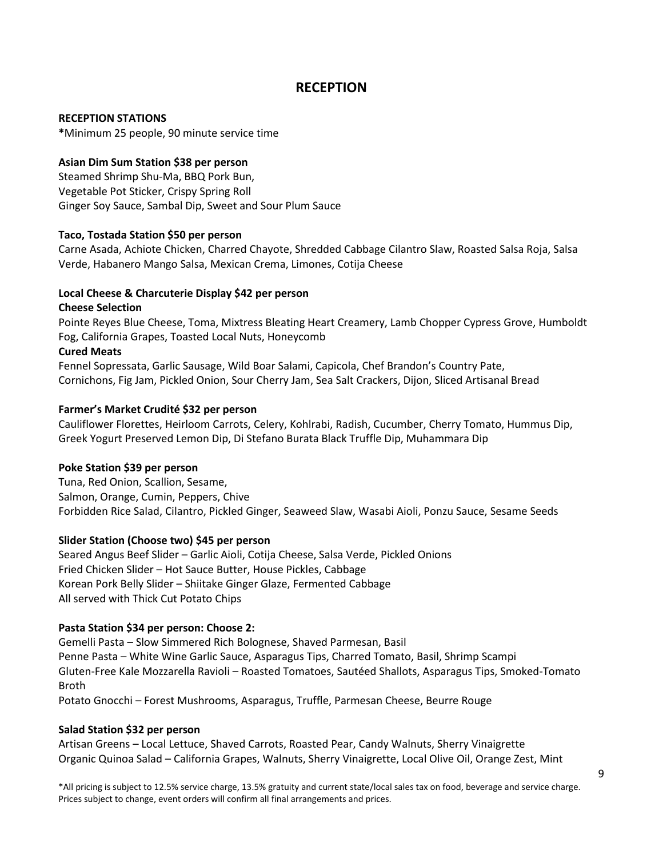# **RECEPTION**

#### **RECEPTION STATIONS**

**\***Minimum 25 people, 90 minute service time

#### **Asian Dim Sum Station \$38 per person**

Steamed Shrimp Shu-Ma, BBQ Pork Bun, Vegetable Pot Sticker, Crispy Spring Roll Ginger Soy Sauce, Sambal Dip, Sweet and Sour Plum Sauce

#### **Taco, Tostada Station \$50 per person**

Carne Asada, Achiote Chicken, Charred Chayote, Shredded Cabbage Cilantro Slaw, Roasted Salsa Roja, Salsa Verde, Habanero Mango Salsa, Mexican Crema, Limones, Cotija Cheese

#### **Local Cheese & Charcuterie Display \$42 per person**

#### **Cheese Selection**

Pointe Reyes Blue Cheese, Toma, Mixtress Bleating Heart Creamery, Lamb Chopper Cypress Grove, Humboldt Fog, California Grapes, Toasted Local Nuts, Honeycomb

#### **Cured Meats**

Fennel Sopressata, Garlic Sausage, Wild Boar Salami, Capicola, Chef Brandon's Country Pate, Cornichons, Fig Jam, Pickled Onion, Sour Cherry Jam, Sea Salt Crackers, Dijon, Sliced Artisanal Bread

#### **Farmer's Market Crudité \$32 per person**

Cauliflower Florettes, Heirloom Carrots, Celery, Kohlrabi, Radish, Cucumber, Cherry Tomato, Hummus Dip, Greek Yogurt Preserved Lemon Dip, Di Stefano Burata Black Truffle Dip, Muhammara Dip

#### **Poke Station \$39 per person**

Tuna, Red Onion, Scallion, Sesame, Salmon, Orange, Cumin, Peppers, Chive Forbidden Rice Salad, Cilantro, Pickled Ginger, Seaweed Slaw, Wasabi Aioli, Ponzu Sauce, Sesame Seeds

#### **Slider Station (Choose two) \$45 per person**

Seared Angus Beef Slider – Garlic Aioli, Cotija Cheese, Salsa Verde, Pickled Onions Fried Chicken Slider – Hot Sauce Butter, House Pickles, Cabbage Korean Pork Belly Slider – Shiitake Ginger Glaze, Fermented Cabbage All served with Thick Cut Potato Chips

#### **Pasta Station \$34 per person: Choose 2:**

Gemelli Pasta – Slow Simmered Rich Bolognese, Shaved Parmesan, Basil Penne Pasta – White Wine Garlic Sauce, Asparagus Tips, Charred Tomato, Basil, Shrimp Scampi Gluten-Free Kale Mozzarella Ravioli – Roasted Tomatoes, Sautéed Shallots, Asparagus Tips, Smoked-Tomato Broth

Potato Gnocchi – Forest Mushrooms, Asparagus, Truffle, Parmesan Cheese, Beurre Rouge

#### **Salad Station \$32 per person**

Artisan Greens – Local Lettuce, Shaved Carrots, Roasted Pear, Candy Walnuts, Sherry Vinaigrette Organic Quinoa Salad – California Grapes, Walnuts, Sherry Vinaigrette, Local Olive Oil, Orange Zest, Mint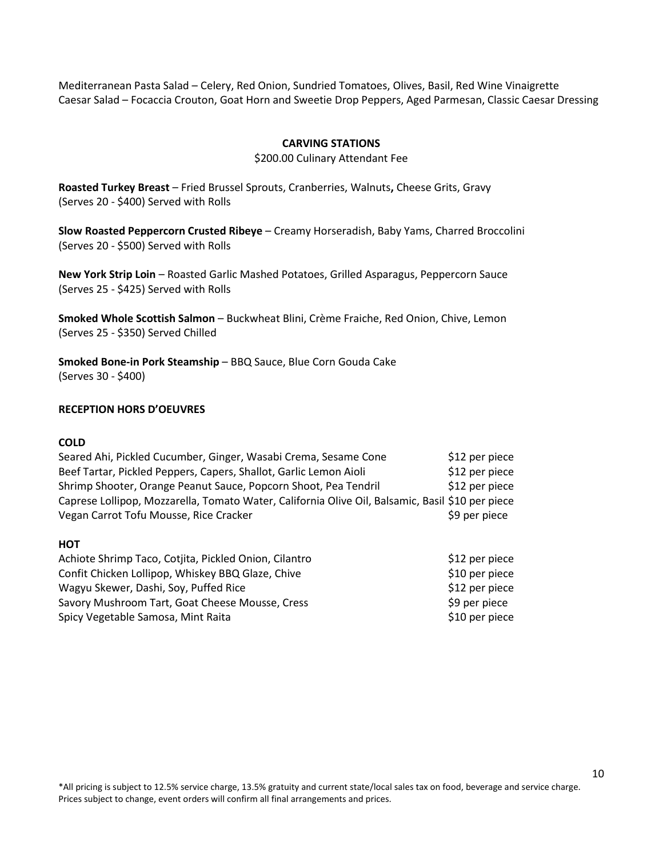Mediterranean Pasta Salad – Celery, Red Onion, Sundried Tomatoes, Olives, Basil, Red Wine Vinaigrette Caesar Salad – Focaccia Crouton, Goat Horn and Sweetie Drop Peppers, Aged Parmesan, Classic Caesar Dressing

#### **CARVING STATIONS**

#### \$200.00 Culinary Attendant Fee

**Roasted Turkey Breast** – Fried Brussel Sprouts, Cranberries, Walnuts**,** Cheese Grits, Gravy (Serves 20 - \$400) Served with Rolls

**Slow Roasted Peppercorn Crusted Ribeye** – Creamy Horseradish, Baby Yams, Charred Broccolini (Serves 20 - \$500) Served with Rolls

**New York Strip Loin** – Roasted Garlic Mashed Potatoes, Grilled Asparagus, Peppercorn Sauce (Serves 25 - \$425) Served with Rolls

**Smoked Whole Scottish Salmon** – Buckwheat Blini, Crème Fraiche, Red Onion, Chive, Lemon (Serves 25 - \$350) Served Chilled

**Smoked Bone-in Pork Steamship** – BBQ Sauce, Blue Corn Gouda Cake (Serves 30 - \$400)

#### **RECEPTION HORS D'OEUVRES**

#### **COLD**

| Seared Ahi, Pickled Cucumber, Ginger, Wasabi Crema, Sesame Cone                                  | \$12 per piece  |
|--------------------------------------------------------------------------------------------------|-----------------|
| Beef Tartar, Pickled Peppers, Capers, Shallot, Garlic Lemon Aioli                                | \$12 per piece  |
| Shrimp Shooter, Orange Peanut Sauce, Popcorn Shoot, Pea Tendril                                  | $$12$ per piece |
| Caprese Lollipop, Mozzarella, Tomato Water, California Olive Oil, Balsamic, Basil \$10 per piece |                 |
| Vegan Carrot Tofu Mousse, Rice Cracker                                                           | \$9 per piece   |

#### **HOT**

| Achiote Shrimp Taco, Cotjita, Pickled Onion, Cilantro | \$12 per piece |
|-------------------------------------------------------|----------------|
| Confit Chicken Lollipop, Whiskey BBQ Glaze, Chive     | \$10 per piece |
| Wagyu Skewer, Dashi, Soy, Puffed Rice                 | \$12 per piece |
| Savory Mushroom Tart, Goat Cheese Mousse, Cress       | \$9 per piece  |
| Spicy Vegetable Samosa, Mint Raita                    | \$10 per piece |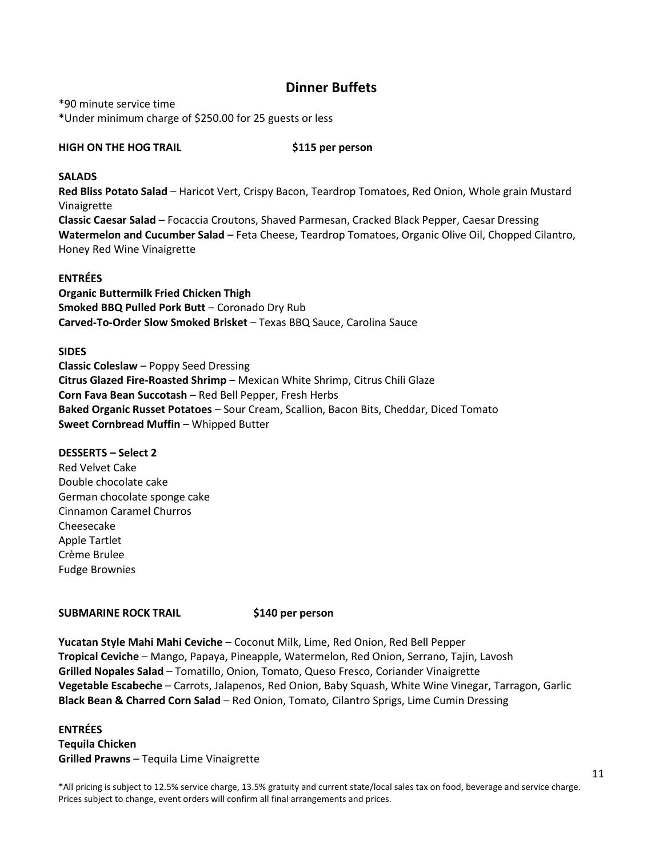# **Dinner Buffets**

\*90 minute service time \*Under minimum charge of \$250.00 for 25 guests or less

#### **HIGH ON THE HOG TRAIL \$115 per person**

#### **SALADS**

**Red Bliss Potato Salad** – Haricot Vert, Crispy Bacon, Teardrop Tomatoes, Red Onion, Whole grain Mustard Vinaigrette **Classic Caesar Salad** – Focaccia Croutons, Shaved Parmesan, Cracked Black Pepper, Caesar Dressing **Watermelon and Cucumber Salad** – Feta Cheese, Teardrop Tomatoes, Organic Olive Oil, Chopped Cilantro, Honey Red Wine Vinaigrette

#### **ENTRÉES**

**Organic Buttermilk Fried Chicken Thigh Smoked BBQ Pulled Pork Butt** – Coronado Dry Rub **Carved-To-Order Slow Smoked Brisket** – Texas BBQ Sauce, Carolina Sauce

#### **SIDES**

**Classic Coleslaw** – Poppy Seed Dressing **Citrus Glazed Fire-Roasted Shrimp** – Mexican White Shrimp, Citrus Chili Glaze **Corn Fava Bean Succotash** – Red Bell Pepper, Fresh Herbs **Baked Organic Russet Potatoes** – Sour Cream, Scallion, Bacon Bits, Cheddar, Diced Tomato **Sweet Cornbread Muffin** – Whipped Butter

#### **DESSERTS – Select 2**

Red Velvet Cake Double chocolate cake German chocolate sponge cake Cinnamon Caramel Churros Cheesecake Apple Tartlet Crème Brulee Fudge Brownies

#### **SUBMARINE ROCK TRAIL \$140 per person**

**Yucatan Style Mahi Mahi Ceviche** – Coconut Milk, Lime, Red Onion, Red Bell Pepper **Tropical Ceviche** – Mango, Papaya, Pineapple, Watermelon, Red Onion, Serrano, Tajin, Lavosh **Grilled Nopales Salad** – Tomatillo, Onion, Tomato, Queso Fresco, Coriander Vinaigrette **Vegetable Escabeche** – Carrots, Jalapenos, Red Onion, Baby Squash, White Wine Vinegar, Tarragon, Garlic **Black Bean & Charred Corn Salad** – Red Onion, Tomato, Cilantro Sprigs, Lime Cumin Dressing

## **ENTRÉES Tequila Chicken Grilled Prawns** – Tequila Lime Vinaigrette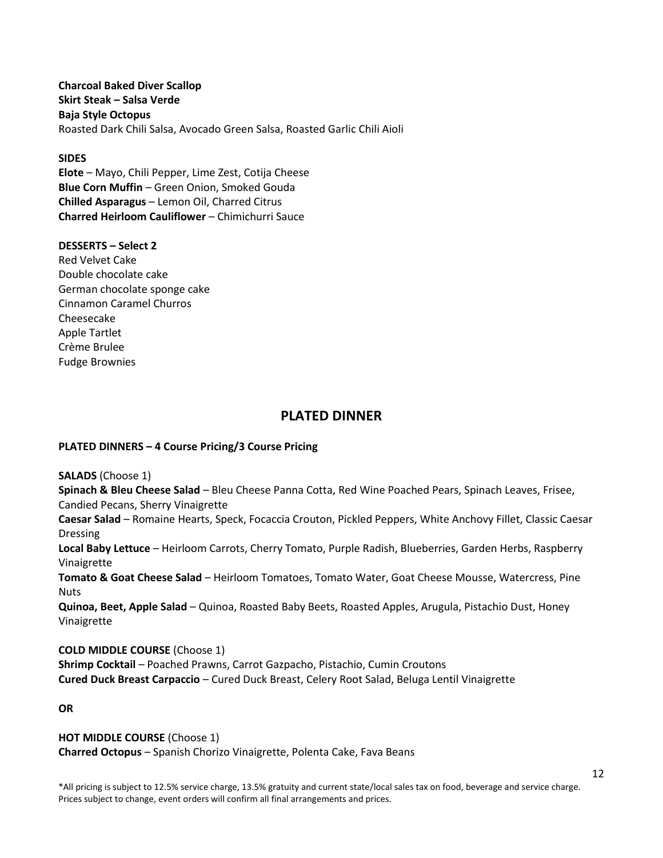**Charcoal Baked Diver Scallop Skirt Steak – Salsa Verde Baja Style Octopus** Roasted Dark Chili Salsa, Avocado Green Salsa, Roasted Garlic Chili Aioli

#### **SIDES**

**Elote** – Mayo, Chili Pepper, Lime Zest, Cotija Cheese **Blue Corn Muffin** – Green Onion, Smoked Gouda **Chilled Asparagus** – Lemon Oil, Charred Citrus **Charred Heirloom Cauliflower** – Chimichurri Sauce

#### **DESSERTS – Select 2**

Red Velvet Cake Double chocolate cake German chocolate sponge cake Cinnamon Caramel Churros Cheesecake Apple Tartlet Crème Brulee Fudge Brownies

# **PLATED DINNER**

#### **PLATED DINNERS – 4 Course Pricing/3 Course Pricing**

**SALADS** (Choose 1)

**Spinach & Bleu Cheese Salad** – Bleu Cheese Panna Cotta, Red Wine Poached Pears, Spinach Leaves, Frisee, Candied Pecans, Sherry Vinaigrette

**Caesar Salad** – Romaine Hearts, Speck, Focaccia Crouton, Pickled Peppers, White Anchovy Fillet, Classic Caesar Dressing

**Local Baby Lettuce** – Heirloom Carrots, Cherry Tomato, Purple Radish, Blueberries, Garden Herbs, Raspberry Vinaigrette

**Tomato & Goat Cheese Salad** – Heirloom Tomatoes, Tomato Water, Goat Cheese Mousse, Watercress, Pine **Nuts** 

**Quinoa, Beet, Apple Salad** – Quinoa, Roasted Baby Beets, Roasted Apples, Arugula, Pistachio Dust, Honey Vinaigrette

**COLD MIDDLE COURSE** (Choose 1)

**Shrimp Cocktail** – Poached Prawns, Carrot Gazpacho, Pistachio, Cumin Croutons **Cured Duck Breast Carpaccio** – Cured Duck Breast, Celery Root Salad, Beluga Lentil Vinaigrette

**OR**

**HOT MIDDLE COURSE** (Choose 1) **Charred Octopus** – Spanish Chorizo Vinaigrette, Polenta Cake, Fava Beans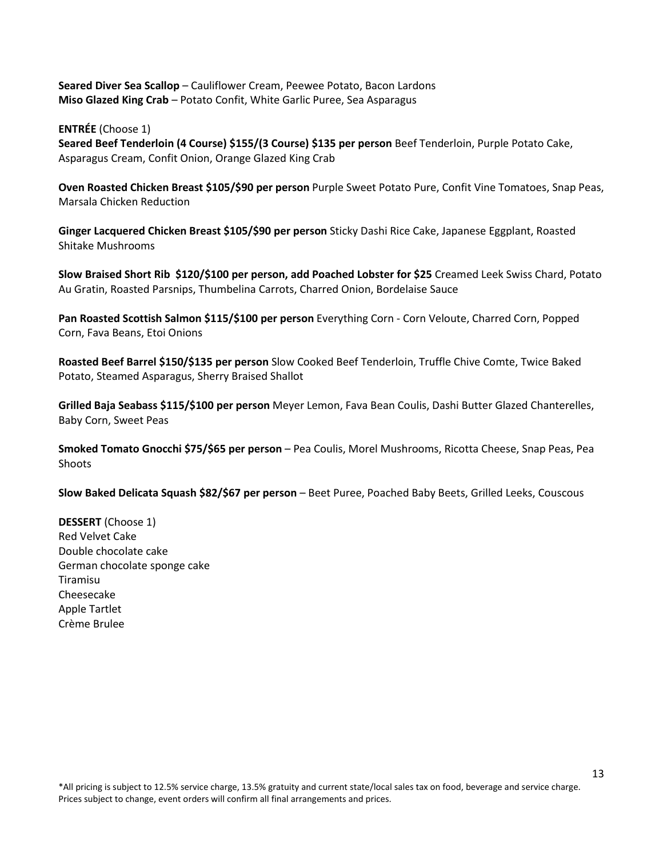**Seared Diver Sea Scallop** – Cauliflower Cream, Peewee Potato, Bacon Lardons **Miso Glazed King Crab** – Potato Confit, White Garlic Puree, Sea Asparagus

**ENTRÉE** (Choose 1)

**Seared Beef Tenderloin (4 Course) \$155/(3 Course) \$135 per person** Beef Tenderloin, Purple Potato Cake, Asparagus Cream, Confit Onion, Orange Glazed King Crab

**Oven Roasted Chicken Breast \$105/\$90 per person** Purple Sweet Potato Pure, Confit Vine Tomatoes, Snap Peas, Marsala Chicken Reduction

**Ginger Lacquered Chicken Breast \$105/\$90 per person** Sticky Dashi Rice Cake, Japanese Eggplant, Roasted Shitake Mushrooms

**Slow Braised Short Rib \$120/\$100 per person, add Poached Lobster for \$25** Creamed Leek Swiss Chard, Potato Au Gratin, Roasted Parsnips, Thumbelina Carrots, Charred Onion, Bordelaise Sauce

**Pan Roasted Scottish Salmon \$115/\$100 per person** Everything Corn - Corn Veloute, Charred Corn, Popped Corn, Fava Beans, Etoi Onions

**Roasted Beef Barrel \$150/\$135 per person** Slow Cooked Beef Tenderloin, Truffle Chive Comte, Twice Baked Potato, Steamed Asparagus, Sherry Braised Shallot

**Grilled Baja Seabass \$115/\$100 per person** Meyer Lemon, Fava Bean Coulis, Dashi Butter Glazed Chanterelles, Baby Corn, Sweet Peas

**Smoked Tomato Gnocchi \$75/\$65 per person** – Pea Coulis, Morel Mushrooms, Ricotta Cheese, Snap Peas, Pea Shoots

**Slow Baked Delicata Squash \$82/\$67 per person** – Beet Puree, Poached Baby Beets, Grilled Leeks, Couscous

**DESSERT** (Choose 1) Red Velvet Cake Double chocolate cake German chocolate sponge cake Tiramisu Cheesecake Apple Tartlet Crème Brulee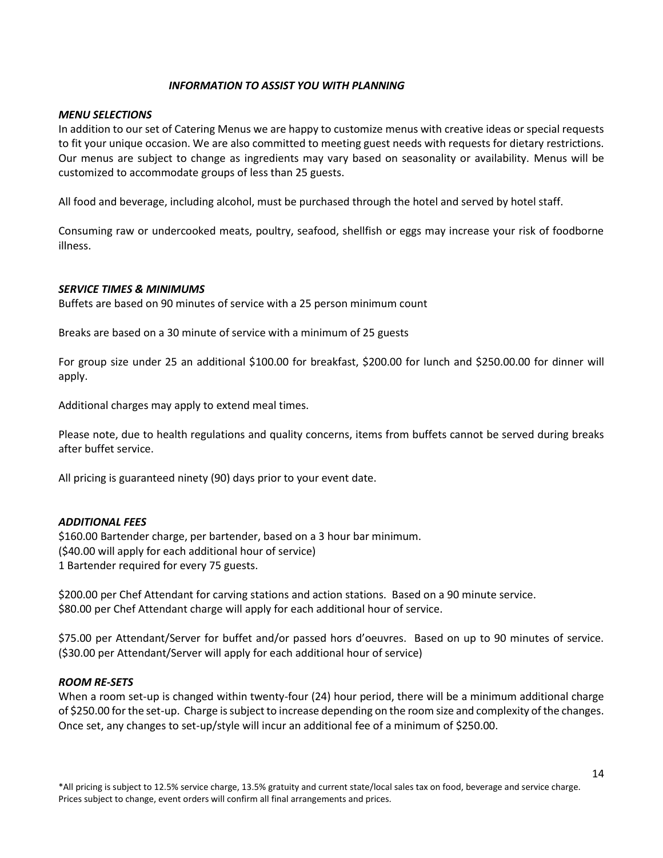#### *INFORMATION TO ASSIST YOU WITH PLANNING*

#### *MENU SELECTIONS*

In addition to our set of Catering Menus we are happy to customize menus with creative ideas or special requests to fit your unique occasion. We are also committed to meeting guest needs with requests for dietary restrictions. Our menus are subject to change as ingredients may vary based on seasonality or availability. Menus will be customized to accommodate groups of less than 25 guests.

All food and beverage, including alcohol, must be purchased through the hotel and served by hotel staff.

Consuming raw or undercooked meats, poultry, seafood, shellfish or eggs may increase your risk of foodborne illness.

#### *SERVICE TIMES & MINIMUMS*

Buffets are based on 90 minutes of service with a 25 person minimum count

Breaks are based on a 30 minute of service with a minimum of 25 guests

For group size under 25 an additional \$100.00 for breakfast, \$200.00 for lunch and \$250.00.00 for dinner will apply.

Additional charges may apply to extend meal times.

Please note, due to health regulations and quality concerns, items from buffets cannot be served during breaks after buffet service.

All pricing is guaranteed ninety (90) days prior to your event date.

#### *ADDITIONAL FEES*

\$160.00 Bartender charge, per bartender, based on a 3 hour bar minimum. (\$40.00 will apply for each additional hour of service) 1 Bartender required for every 75 guests.

\$200.00 per Chef Attendant for carving stations and action stations. Based on a 90 minute service. \$80.00 per Chef Attendant charge will apply for each additional hour of service.

\$75.00 per Attendant/Server for buffet and/or passed hors d'oeuvres. Based on up to 90 minutes of service. (\$30.00 per Attendant/Server will apply for each additional hour of service)

#### *ROOM RE-SETS*

When a room set-up is changed within twenty-four (24) hour period, there will be a minimum additional charge of \$250.00 for the set-up. Charge is subject to increase depending on the room size and complexity of the changes. Once set, any changes to set-up/style will incur an additional fee of a minimum of \$250.00.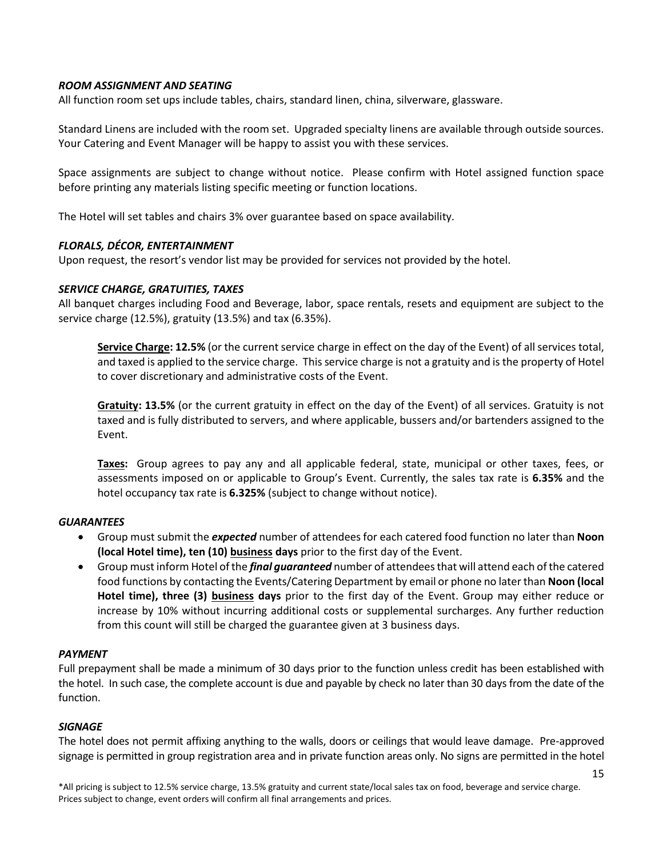#### *ROOM ASSIGNMENT AND SEATING*

All function room set ups include tables, chairs, standard linen, china, silverware, glassware.

Standard Linens are included with the room set. Upgraded specialty linens are available through outside sources. Your Catering and Event Manager will be happy to assist you with these services.

Space assignments are subject to change without notice. Please confirm with Hotel assigned function space before printing any materials listing specific meeting or function locations.

The Hotel will set tables and chairs 3% over guarantee based on space availability.

#### *FLORALS, DÉCOR, ENTERTAINMENT*

Upon request, the resort's vendor list may be provided for services not provided by the hotel.

#### *SERVICE CHARGE, GRATUITIES, TAXES*

All banquet charges including Food and Beverage, labor, space rentals, resets and equipment are subject to the service charge (12.5%), gratuity (13.5%) and tax (6.35%).

**Service Charge: 12.5%** (or the current service charge in effect on the day of the Event) of all services total, and taxed is applied to the service charge. This service charge is not a gratuity and is the property of Hotel to cover discretionary and administrative costs of the Event.

**Gratuity: 13.5%** (or the current gratuity in effect on the day of the Event) of all services. Gratuity is not taxed and is fully distributed to servers, and where applicable, bussers and/or bartenders assigned to the Event.

**Taxes:** Group agrees to pay any and all applicable federal, state, municipal or other taxes, fees, or assessments imposed on or applicable to Group's Event. Currently, the sales tax rate is **6.35%** and the hotel occupancy tax rate is **6.325%** (subject to change without notice).

#### *GUARANTEES*

- Group must submit the *expected* number of attendees for each catered food function no later than **Noon (local Hotel time), ten (10) business days** prior to the first day of the Event.
- Group must inform Hotel of the *final guaranteed* number of attendees that will attend each of the catered food functions by contacting the Events/Catering Department by email or phone no later than **Noon (local Hotel time), three (3) business days** prior to the first day of the Event. Group may either reduce or increase by 10% without incurring additional costs or supplemental surcharges. Any further reduction from this count will still be charged the guarantee given at 3 business days.

#### *PAYMENT*

Full prepayment shall be made a minimum of 30 days prior to the function unless credit has been established with the hotel. In such case, the complete account is due and payable by check no later than 30 days from the date of the function.

#### *SIGNAGE*

The hotel does not permit affixing anything to the walls, doors or ceilings that would leave damage. Pre-approved signage is permitted in group registration area and in private function areas only. No signs are permitted in the hotel